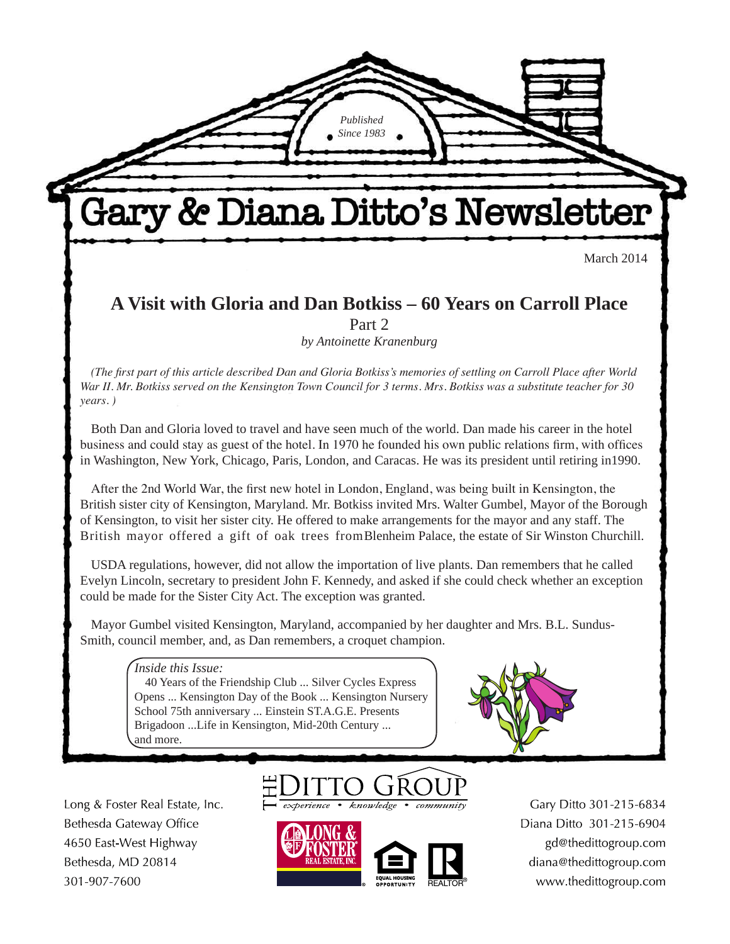March 2014

## **A Visit with Gloria and Dan Botkiss – 60 Years on Carroll Place** Part 2

Gary & Diana Ditto's Newsletter

*Published Since 1983*

*by Antoinette Kranenburg*

*(The first part of this article described Dan and Gloria Botkiss's memories of settling on Carroll Place after World War II. Mr. Botkiss served on the Kensington Town Council for 3 terms. Mrs. Botkiss was a substitute teacher for 30 years. )*

Both Dan and Gloria loved to travel and have seen much of the world. Dan made his career in the hotel business and could stay as guest of the hotel. In 1970 he founded his own public relations firm, with offices in Washington, New York, Chicago, Paris, London, and Caracas. He was its president until retiring in1990.

After the 2nd World War, the first new hotel in London, England, was being built in Kensington, the British sister city of Kensington, Maryland. Mr. Botkiss invited Mrs. Walter Gumbel, Mayor of the Borough of Kensington, to visit her sister city. He offered to make arrangements for the mayor and any staff. The British mayor offered a gift of oak trees from Blenheim Palace, the estate of Sir Winston Churchill.

USDA regulations, however, did not allow the importation of live plants. Dan remembers that he called Evelyn Lincoln, secretary to president John F. Kennedy, and asked if she could check whether an exception could be made for the Sister City Act. The exception was granted.

Mayor Gumbel visited Kensington, Maryland, accompanied by her daughter and Mrs. B.L. Sundus-Smith, council member, and, as Dan remembers, a croquet champion.

*Inside this Issue:*

40 Years of the Friendship Club ... Silver Cycles Express Opens ... Kensington Day of the Book ... Kensington Nursery School 75th anniversary ... Einstein ST.A.G.E. Presents Brigadoon ...Life in Kensington, Mid-20th Century ... and more.



Long & Foster Real Estate, Inc. Bethesda Gateway Office 4650 East-West Highway Bethesda, MD 20814 301-907-7600



knowledge



Gary Ditto 301-215-6834 Diana Ditto 301-215-6904 gd@thedittogroup.com diana@thedittogroup.com www.thedittogroup.com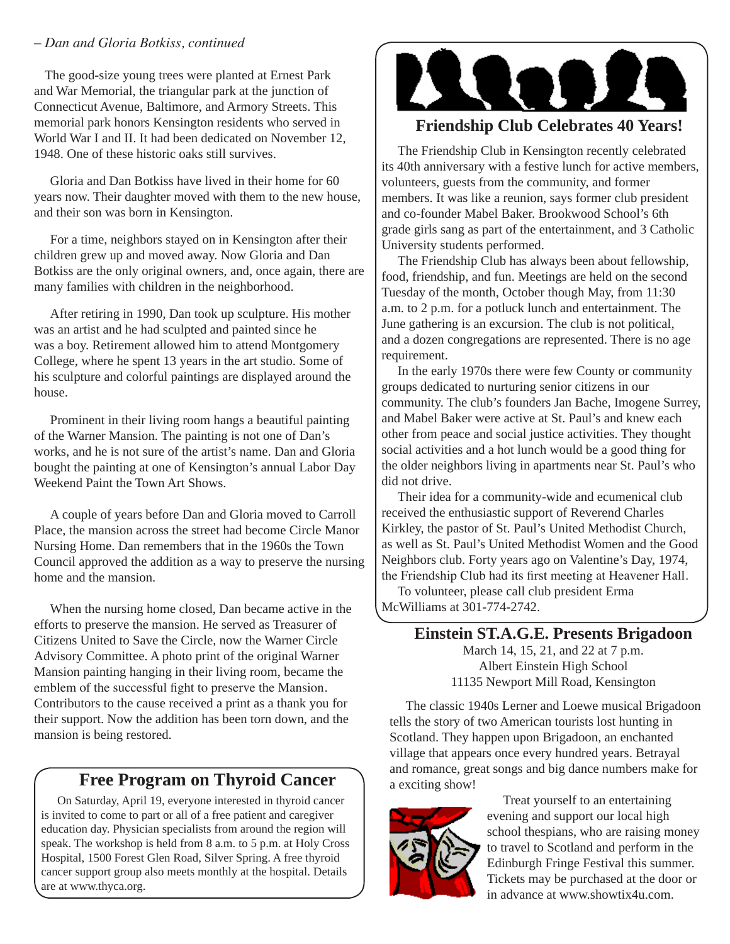#### – *Dan and Gloria Botkiss, continued*

The good-size young trees were planted at Ernest Park and War Memorial, the triangular park at the junction of Connecticut Avenue, Baltimore, and Armory Streets. This memorial park honors Kensington residents who served in World War I and II. It had been dedicated on November 12, 1948. One of these historic oaks still survives.

Gloria and Dan Botkiss have lived in their home for 60 years now. Their daughter moved with them to the new house, and their son was born in Kensington.

For a time, neighbors stayed on in Kensington after their children grew up and moved away. Now Gloria and Dan Botkiss are the only original owners, and, once again, there are many families with children in the neighborhood.

After retiring in 1990, Dan took up sculpture. His mother was an artist and he had sculpted and painted since he was a boy. Retirement allowed him to attend Montgomery College, where he spent 13 years in the art studio. Some of his sculpture and colorful paintings are displayed around the house.

Prominent in their living room hangs a beautiful painting of the Warner Mansion. The painting is not one of Dan's works, and he is not sure of the artist's name. Dan and Gloria bought the painting at one of Kensington's annual Labor Day Weekend Paint the Town Art Shows.

A couple of years before Dan and Gloria moved to Carroll Place, the mansion across the street had become Circle Manor Nursing Home. Dan remembers that in the 1960s the Town Council approved the addition as a way to preserve the nursing home and the mansion.

When the nursing home closed, Dan became active in the efforts to preserve the mansion. He served as Treasurer of Citizens United to Save the Circle, now the Warner Circle Advisory Committee. A photo print of the original Warner Mansion painting hanging in their living room, became the emblem of the successful fight to preserve the Mansion. Contributors to the cause received a print as a thank you for their support. Now the addition has been torn down, and the mansion is being restored.

### **Free Program on Thyroid Cancer**

On Saturday, April 19, everyone interested in thyroid cancer is invited to come to part or all of a free patient and caregiver education day. Physician specialists from around the region will speak. The workshop is held from 8 a.m. to 5 p.m. at Holy Cross Hospital, 1500 Forest Glen Road, Silver Spring. A free thyroid cancer support group also meets monthly at the hospital. Details are at www.thyca.org.



## **Friendship Club Celebrates 40 Years!**

The Friendship Club in Kensington recently celebrated its 40th anniversary with a festive lunch for active members, volunteers, guests from the community, and former members. It was like a reunion, says former club president and co-founder Mabel Baker. Brookwood School's 6th grade girls sang as part of the entertainment, and 3 Catholic University students performed.

The Friendship Club has always been about fellowship, food, friendship, and fun. Meetings are held on the second Tuesday of the month, October though May, from 11:30 a.m. to 2 p.m. for a potluck lunch and entertainment. The June gathering is an excursion. The club is not political, and a dozen congregations are represented. There is no age requirement.

In the early 1970s there were few County or community groups dedicated to nurturing senior citizens in our community. The club's founders Jan Bache, Imogene Surrey, and Mabel Baker were active at St. Paul's and knew each other from peace and social justice activities. They thought social activities and a hot lunch would be a good thing for the older neighbors living in apartments near St. Paul's who did not drive.

Their idea for a community-wide and ecumenical club received the enthusiastic support of Reverend Charles Kirkley, the pastor of St. Paul's United Methodist Church, as well as St. Paul's United Methodist Women and the Good Neighbors club. Forty years ago on Valentine's Day, 1974, the Friendship Club had its first meeting at Heavener Hall.

To volunteer, please call club president Erma McWilliams at 301-774-2742.

> **Einstein ST.A.G.E. Presents Brigadoon** March 14, 15, 21, and 22 at 7 p.m. Albert Einstein High School 11135 Newport Mill Road, Kensington

The classic 1940s Lerner and Loewe musical Brigadoon tells the story of two American tourists lost hunting in Scotland. They happen upon Brigadoon, an enchanted village that appears once every hundred years. Betrayal and romance, great songs and big dance numbers make for a exciting show!



Treat yourself to an entertaining evening and support our local high school thespians, who are raising money to travel to Scotland and perform in the Edinburgh Fringe Festival this summer. Tickets may be purchased at the door or in advance at www.showtix4u.com.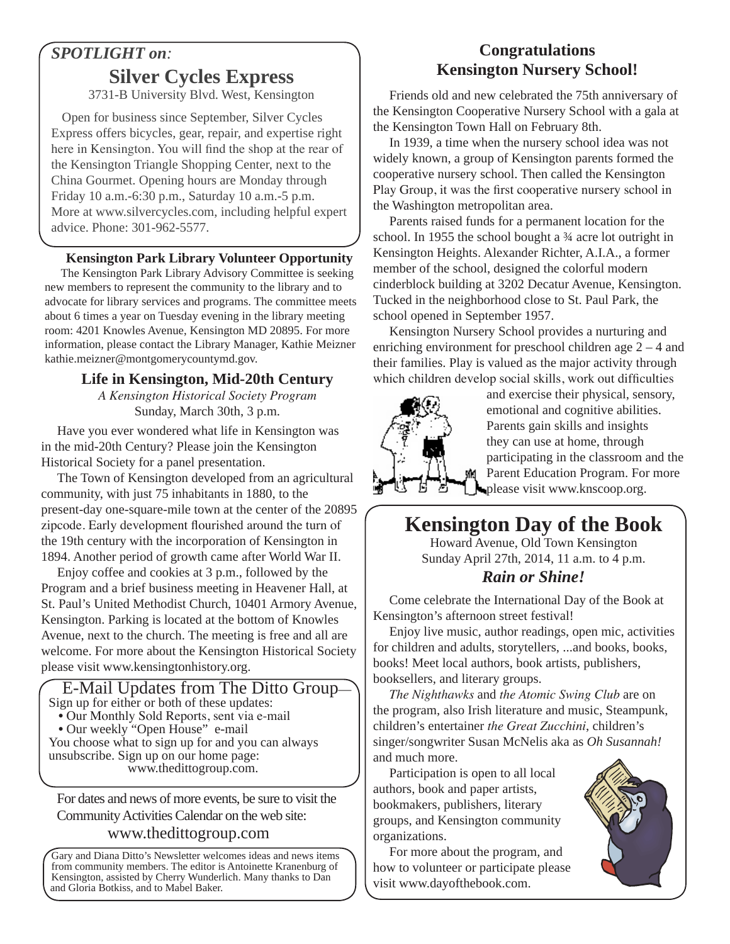## *SPOTLIGHT on:* **Silver Cycles Express**

3731-B University Blvd. West, Kensington

Open for business since September, Silver Cycles Express offers bicycles, gear, repair, and expertise right here in Kensington. You will find the shop at the rear of the Kensington Triangle Shopping Center, next to the China Gourmet. Opening hours are Monday through Friday 10 a.m.-6:30 p.m., Saturday 10 a.m.-5 p.m. More at www.silvercycles.com, including helpful expert advice. Phone: 301-962-5577.

#### **Kensington Park Library Volunteer Opportunity**

The Kensington Park Library Advisory Committee is seeking new members to represent the community to the library and to advocate for library services and programs. The committee meets about 6 times a year on Tuesday evening in the library meeting room: 4201 Knowles Avenue, Kensington MD 20895. For more information, please contact the Library Manager, Kathie Meizner kathie.meizner@montgomerycountymd.gov.

#### **Life in Kensington, Mid-20th Century**

*A Kensington Historical Society Program* Sunday, March 30th, 3 p.m.

Have you ever wondered what life in Kensington was in the mid-20th Century? Please join the Kensington Historical Society for a panel presentation.

The Town of Kensington developed from an agricultural community, with just 75 inhabitants in 1880, to the present-day one-square-mile town at the center of the 20895 zipcode. Early development flourished around the turn of the 19th century with the incorporation of Kensington in 1894. Another period of growth came after World War II.

Enjoy coffee and cookies at 3 p.m., followed by the Program and a brief business meeting in Heavener Hall, at St. Paul's United Methodist Church, 10401 Armory Avenue, Kensington. Parking is located at the bottom of Knowles Avenue, next to the church. The meeting is free and all are welcome. For more about the Kensington Historical Society please visit www.kensingtonhistory.org.



For dates and news of more events, be sure to visit the Community Activities Calendar on the web site: www.thedittogroup.com

Gary and Diana Ditto's Newsletter welcomes ideas and news items from community members. The editor is Antoinette Kranenburg of Kensington, assisted by Cherry Wunderlich. Many thanks to Dan and Gloria Botkiss, and to Mabel Baker.

## **Congratulations Kensington Nursery School!**

Friends old and new celebrated the 75th anniversary of the Kensington Cooperative Nursery School with a gala at the Kensington Town Hall on February 8th.

In 1939, a time when the nursery school idea was not widely known, a group of Kensington parents formed the cooperative nursery school. Then called the Kensington Play Group, it was the first cooperative nursery school in the Washington metropolitan area.

Parents raised funds for a permanent location for the school. In 1955 the school bought a ¾ acre lot outright in Kensington Heights. Alexander Richter, A.I.A., a former member of the school, designed the colorful modern cinderblock building at 3202 Decatur Avenue, Kensington. Tucked in the neighborhood close to St. Paul Park, the school opened in September 1957.

Kensington Nursery School provides a nurturing and enriching environment for preschool children age 2 – 4 and their families. Play is valued as the major activity through which children develop social skills, work out difficulties



and exercise their physical, sensory, emotional and cognitive abilities. Parents gain skills and insights they can use at home, through participating in the classroom and the Parent Education Program. For more please visit www.knscoop.org.

# **Kensington Day of the Book**

Howard Avenue, Old Town Kensington Sunday April 27th, 2014, 11 a.m. to 4 p.m.

#### *Rain or Shine!*

Come celebrate the International Day of the Book at Kensington's afternoon street festival!

Enjoy live music, author readings, open mic, activities for children and adults, storytellers, ...and books, books, books! Meet local authors, book artists, publishers, booksellers, and literary groups.

*The Nighthawks* and *the Atomic Swing Club* are on the program, also Irish literature and music, Steampunk, children's entertainer *the Great Zucchini*, children's singer/songwriter Susan McNelis aka as *Oh Susannah!* and much more.

Participation is open to all local authors, book and paper artists, bookmakers, publishers, literary groups, and Kensington community organizations.

For more about the program, and how to volunteer or participate please visit www.dayofthebook.com.